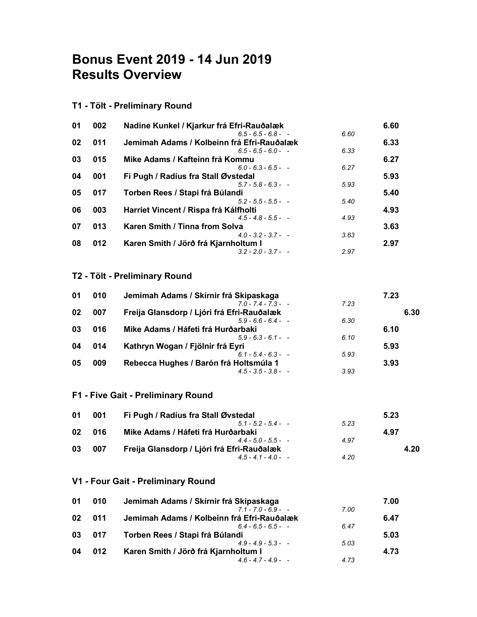# Bonus Event 2019 - 14 Jun 2019 Results Overview

## T1 - Tölt - Preliminary Round

| 01 | 002 | Nadine Kunkel / Kjarkur frá Efri-Rauðalæk  |      | 6.60 |
|----|-----|--------------------------------------------|------|------|
|    |     | $6.5 - 6.5 - 6.8 - -$                      | 6.60 |      |
| 02 | 011 | Jemimah Adams / Kolbeinn frá Efri-Rauðalæk |      | 6.33 |
|    |     | $6.5 - 6.5 - 6.0 -$                        | 6.33 |      |
| 03 | 015 | Mike Adams / Kafteinn frá Kommu            |      | 6.27 |
|    |     | $6.0 - 6.3 - 6.5 -$                        | 6.27 |      |
| 04 | 001 | Fi Pugh / Radíus fra Stall Øvstedal        |      | 5.93 |
|    |     | $5.7 - 5.8 - 6.3 -$                        | 5.93 |      |
| 05 | 017 | Torben Rees / Stapi frá Búlandi            |      | 5.40 |
|    |     | $5.2 - 5.5 - 5.5 -$                        | 5.40 |      |
| 06 | 003 | Harriet Vincent / Rispa frá Kálfholti      |      | 4.93 |
|    |     | $4.5 - 4.8 - 5.5 -$                        | 4.93 |      |
| 07 | 013 | Karen Smith / Tinna from Solva             |      | 3.63 |
|    |     | $4.0 - 3.2 - 3.7 -$                        | 3.63 |      |
| 08 | 012 | Karen Smith / Jörð frá Kjarnholtum I       |      | 2.97 |
|    |     | $3.2 - 2.0 - 3.7 -$                        | 2.97 |      |

#### T2 - Tölt - Preliminary Round

| 010 | Jemimah Adams / Skírnir frá Skipaskaga     |      | 7.23 |
|-----|--------------------------------------------|------|------|
|     | $70 - 74 - 73 -$                           | 7.23 |      |
| 007 | Freija Glansdorp / Ljóri frá Efri-Rauðalæk |      | 6.30 |
|     | $5.9 - 6.6 - 6.4 -$                        | 6.30 |      |
| 016 | Mike Adams / Háfeti frá Hurðarbaki         |      | 6.10 |
|     | $5.9 - 6.3 - 6.1 -$                        | 6.10 |      |
| 014 | Kathryn Wogan / Fjölnir frá Eyri           |      | 5.93 |
|     | $61 - 54 - 63 -$                           | 5.93 |      |
| 009 | Rebecca Hughes / Barón frá Holtsmúla 1     |      | 3.93 |
|     | $4.5 - 3.5 - 3.8 -$                        | 3.93 |      |
|     |                                            |      |      |

### F1 - Five Gait - Preliminary Round

| 001 | Fi Pugh / Radíus fra Stall Øvstedal        |      | 5.23 |
|-----|--------------------------------------------|------|------|
|     | $51 - 52 - 54 -$                           | 5.23 |      |
| 016 | Mike Adams / Háfeti frá Hurðarbaki         |      | 4.97 |
|     | $44 - 50 - 55 -$                           | 4.97 |      |
| 007 | Freija Glansdorp / Ljóri frá Efri-Rauðalæk |      | 4.20 |
|     | $45 - 41 - 40 -$                           | 4.20 |      |
|     |                                            |      |      |

#### V1 - Four Gait - Preliminary Round

| 01 | 010 | Jemimah Adams / Skírnir frá Skipaskaga     |      | 7.00 |
|----|-----|--------------------------------------------|------|------|
|    |     | $71 - 70 - 69 -$                           | 7.00 |      |
| 02 | 011 | Jemimah Adams / Kolbeinn frá Efri-Rauðalæk |      | 6.47 |
|    |     | $64 - 65 - 65 -$                           | 6.47 |      |
| 03 | 017 | Torben Rees / Stapi frá Búlandi            |      | 5.03 |
|    |     | $49 - 49 - 53 -$                           | 5.03 |      |
| 04 | 012 | Karen Smith / Jörð frá Kjarnholtum I       |      | 4.73 |
|    |     | $4.6 - 4.7 - 4.9 -$                        | 4.73 |      |